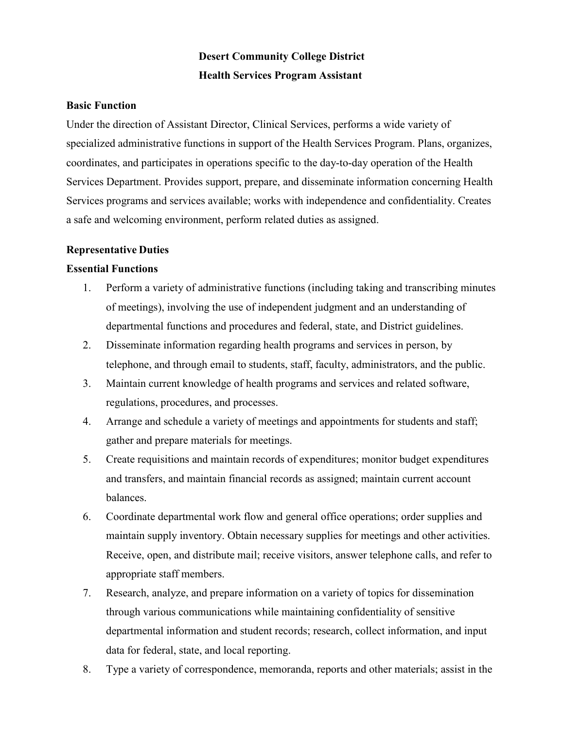# **Desert Community College District Health Services Program Assistant**

#### **Basic Function**

Under the direction of Assistant Director, Clinical Services, performs a wide variety of specialized administrative functions in support of the Health Services Program. Plans, organizes, coordinates, and participates in operations specific to the day-to-day operation of the Health Services Department. Provides support, prepare, and disseminate information concerning Health Services programs and services available; works with independence and confidentiality. Creates a safe and welcoming environment, perform related duties as assigned.

#### **Representative Duties**

#### **Essential Functions**

- 1. Perform a variety of administrative functions (including taking and transcribing minutes of meetings), involving the use of independent judgment and an understanding of departmental functions and procedures and federal, state, and District guidelines.
- 2. Disseminate information regarding health programs and services in person, by telephone, and through email to students, staff, faculty, administrators, and the public.
- 3. Maintain current knowledge of health programs and services and related software, regulations, procedures, and processes.
- 4. Arrange and schedule a variety of meetings and appointments for students and staff; gather and prepare materials for meetings.
- 5. Create requisitions and maintain records of expenditures; monitor budget expenditures and transfers, and maintain financial records as assigned; maintain current account balances.
- 6. Coordinate departmental work flow and general office operations; order supplies and maintain supply inventory. Obtain necessary supplies for meetings and other activities. Receive, open, and distribute mail; receive visitors, answer telephone calls, and refer to appropriate staff members.
- 7. Research, analyze, and prepare information on a variety of topics for dissemination through various communications while maintaining confidentiality of sensitive departmental information and student records; research, collect information, and input data for federal, state, and local reporting.
- 8. Type a variety of correspondence, memoranda, reports and other materials; assist in the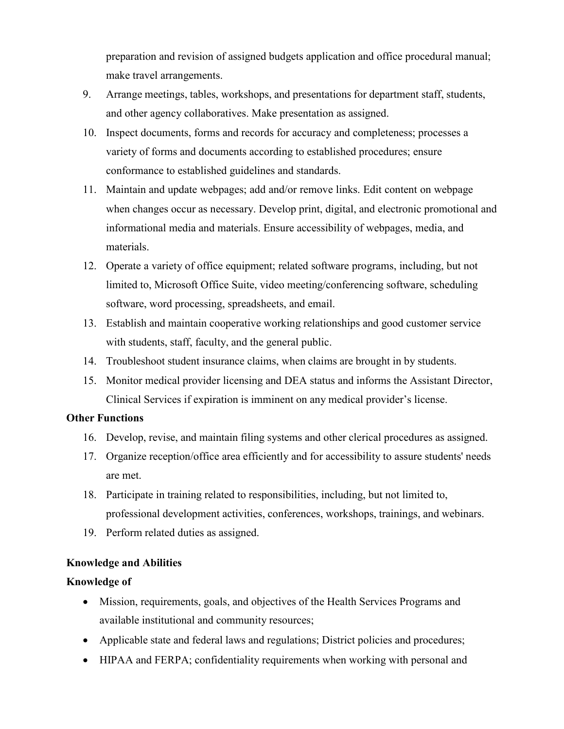preparation and revision of assigned budgets application and office procedural manual; make travel arrangements.

- 9. Arrange meetings, tables, workshops, and presentations for department staff, students, and other agency collaboratives. Make presentation as assigned.
- 10. Inspect documents, forms and records for accuracy and completeness; processes a variety of forms and documents according to established procedures; ensure conformance to established guidelines and standards.
- 11. Maintain and update webpages; add and/or remove links. Edit content on webpage when changes occur as necessary. Develop print, digital, and electronic promotional and informational media and materials. Ensure accessibility of webpages, media, and materials.
- 12. Operate a variety of office equipment; related software programs, including, but not limited to, Microsoft Office Suite, video meeting/conferencing software, scheduling software, word processing, spreadsheets, and email.
- 13. Establish and maintain cooperative working relationships and good customer service with students, staff, faculty, and the general public.
- 14. Troubleshoot student insurance claims, when claims are brought in by students.
- 15. Monitor medical provider licensing and DEA status and informs the Assistant Director, Clinical Services if expiration is imminent on any medical provider's license.

## **Other Functions**

- 16. Develop, revise, and maintain filing systems and other clerical procedures as assigned.
- 17. Organize reception/office area efficiently and for accessibility to assure students' needs are met.
- 18. Participate in training related to responsibilities, including, but not limited to, professional development activities, conferences, workshops, trainings, and webinars.
- 19. Perform related duties as assigned.

# **Knowledge and Abilities**

## **Knowledge of**

- Mission, requirements, goals, and objectives of the Health Services Programs and available institutional and community resources;
- Applicable state and federal laws and regulations; District policies and procedures;
- HIPAA and FERPA; confidentiality requirements when working with personal and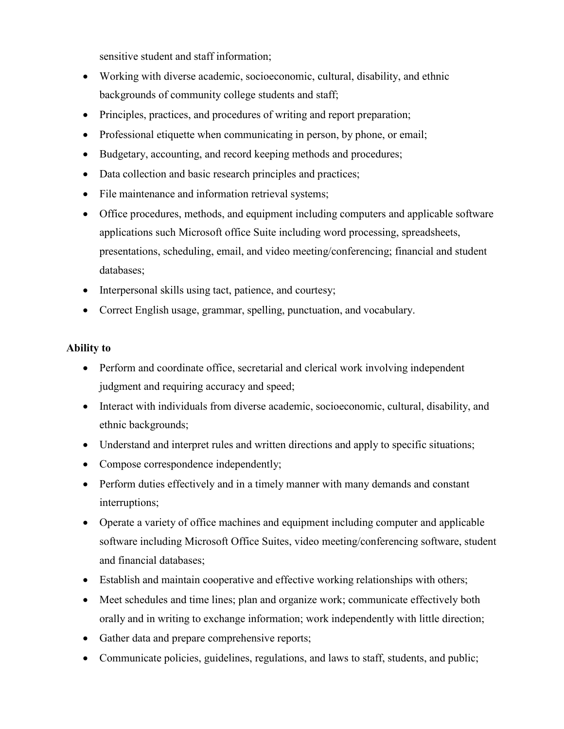sensitive student and staff information;

- Working with diverse academic, socioeconomic, cultural, disability, and ethnic backgrounds of community college students and staff;
- Principles, practices, and procedures of writing and report preparation;
- Professional etiquette when communicating in person, by phone, or email;
- Budgetary, accounting, and record keeping methods and procedures;
- Data collection and basic research principles and practices;
- File maintenance and information retrieval systems;
- Office procedures, methods, and equipment including computers and applicable software applications such Microsoft office Suite including word processing, spreadsheets, presentations, scheduling, email, and video meeting/conferencing; financial and student databases;
- Interpersonal skills using tact, patience, and courtesy;
- Correct English usage, grammar, spelling, punctuation, and vocabulary.

## **Ability to**

- Perform and coordinate office, secretarial and clerical work involving independent judgment and requiring accuracy and speed;
- Interact with individuals from diverse academic, socioeconomic, cultural, disability, and ethnic backgrounds;
- Understand and interpret rules and written directions and apply to specific situations;
- Compose correspondence independently;
- Perform duties effectively and in a timely manner with many demands and constant interruptions;
- Operate a variety of office machines and equipment including computer and applicable software including Microsoft Office Suites, video meeting/conferencing software, student and financial databases;
- Establish and maintain cooperative and effective working relationships with others;
- Meet schedules and time lines; plan and organize work; communicate effectively both orally and in writing to exchange information; work independently with little direction;
- Gather data and prepare comprehensive reports;
- Communicate policies, guidelines, regulations, and laws to staff, students, and public;